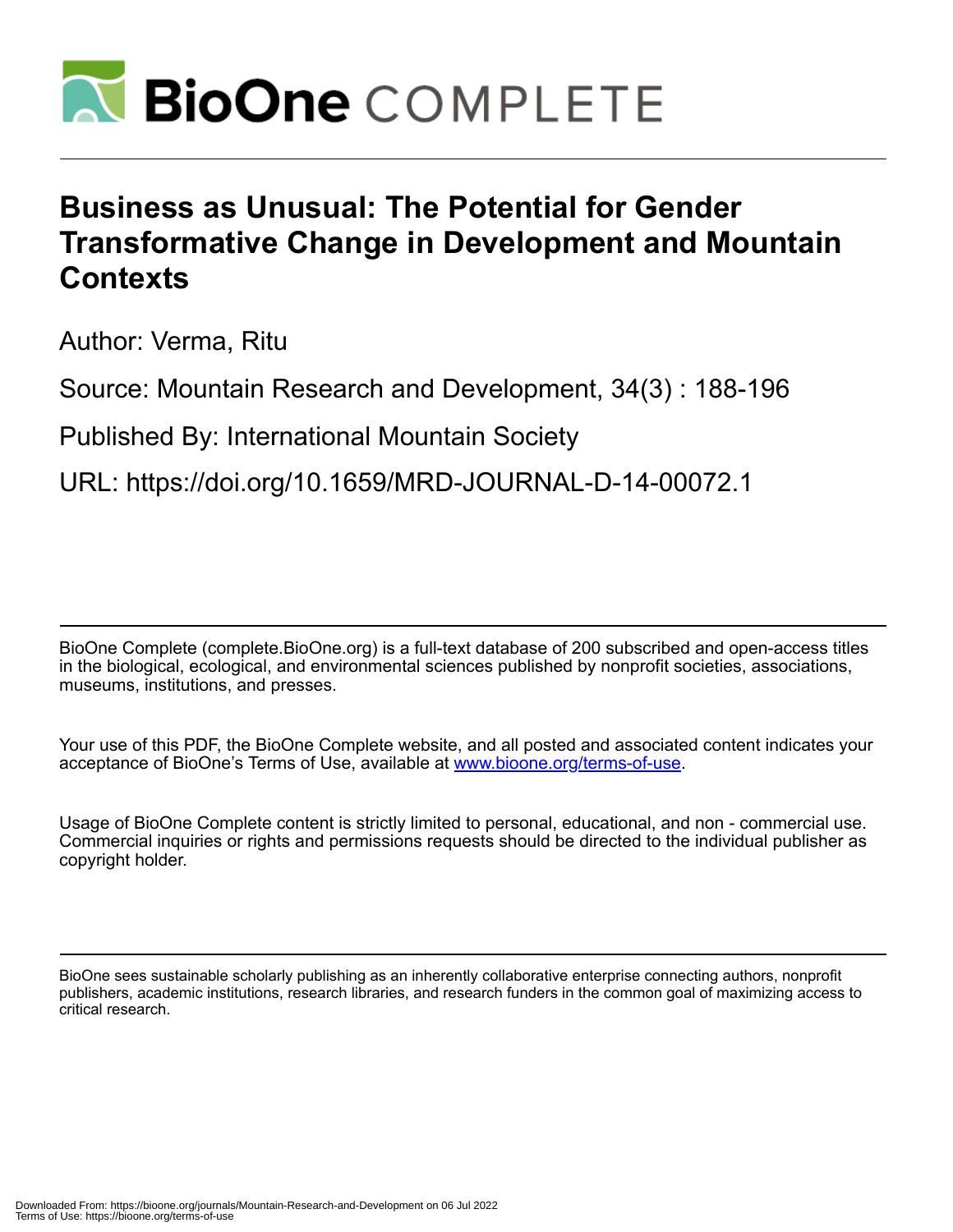

# **Business as Unusual: The Potential for Gender Transformative Change in Development and Mountain Contexts**

Author: Verma, Ritu

Source: Mountain Research and Development, 34(3) : 188-196

Published By: International Mountain Society

URL: https://doi.org/10.1659/MRD-JOURNAL-D-14-00072.1

BioOne Complete (complete.BioOne.org) is a full-text database of 200 subscribed and open-access titles in the biological, ecological, and environmental sciences published by nonprofit societies, associations, museums, institutions, and presses.

Your use of this PDF, the BioOne Complete website, and all posted and associated content indicates your acceptance of BioOne's Terms of Use, available at www.bioone.org/terms-of-use.

Usage of BioOne Complete content is strictly limited to personal, educational, and non - commercial use. Commercial inquiries or rights and permissions requests should be directed to the individual publisher as copyright holder.

BioOne sees sustainable scholarly publishing as an inherently collaborative enterprise connecting authors, nonprofit publishers, academic institutions, research libraries, and research funders in the common goal of maximizing access to critical research.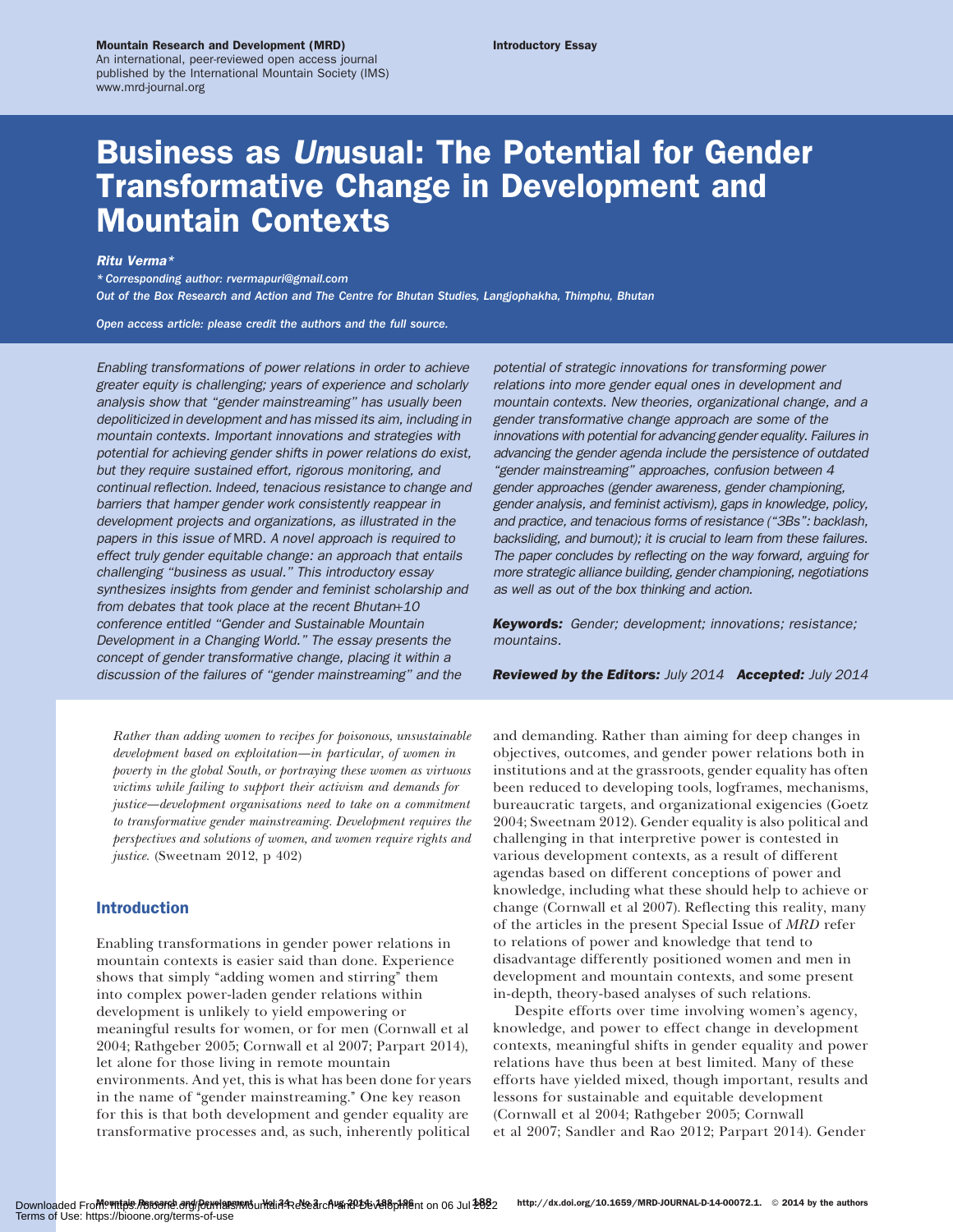#### Mountain Research and Development (MRD) **Introductory Essay**

An international, peer-reviewed open access journal published by the International Mountain Society (IMS) www.mrd-journal.org

# Business as Unusual: The Potential for Gender Transformative Change in Development and Mountain Contexts

#### Ritu Verma\*

\* Corresponding author: rvermapuri@gmail.com Out of the Box Research and Action and The Centre for Bhutan Studies, Langjophakha, Thimphu, Bhutan

Open access article: please credit the authors and the full source.

Enabling transformations of power relations in order to achieve greater equity is challenging; years of experience and scholarly analysis show that ''gender mainstreaming'' has usually been depoliticized in development and has missed its aim, including in mountain contexts. Important innovations and strategies with potential for achieving gender shifts in power relations do exist, but they require sustained effort, rigorous monitoring, and continual reflection. Indeed, tenacious resistance to change and barriers that hamper gender work consistently reappear in development projects and organizations, as illustrated in the papers in this issue of MRD. A novel approach is required to effect truly gender equitable change: an approach that entails challenging ''business as usual.'' This introductory essay synthesizes insights from gender and feminist scholarship and from debates that took place at the recent Bhutan+10 conference entitled ''Gender and Sustainable Mountain Development in a Changing World.'' The essay presents the concept of gender transformative change, placing it within a discussion of the failures of ''gender mainstreaming'' and the

Rather than adding women to recipes for poisonous, unsustainable development based on exploitation—in particular, of women in poverty in the global South, or portraying these women as virtuous victims while failing to support their activism and demands for justice—development organisations need to take on a commitment to transformative gender mainstreaming. Development requires the perspectives and solutions of women, and women require rights and justice. (Sweetnam 2012, p 402)

## Introduction

Enabling transformations in gender power relations in mountain contexts is easier said than done. Experience shows that simply "adding women and stirring" them into complex power-laden gender relations within development is unlikely to yield empowering or meaningful results for women, or for men (Cornwall et al 2004; Rathgeber 2005; Cornwall et al 2007; Parpart 2014), let alone for those living in remote mountain environments. And yet, this is what has been done for years in the name of "gender mainstreaming." One key reason for this is that both development and gender equality are transformative processes and, as such, inherently political

potential of strategic innovations for transforming power relations into more gender equal ones in development and mountain contexts. New theories, organizational change, and a gender transformative change approach are some of the innovations with potential for advancing gender equality. Failures in advancing the gender agenda include the persistence of outdated ''gender mainstreaming'' approaches, confusion between 4 gender approaches (gender awareness, gender championing, gender analysis, and feminist activism), gaps in knowledge, policy, and practice, and tenacious forms of resistance ("3Bs": backlash, backsliding, and burnout); it is crucial to learn from these failures. The paper concludes by reflecting on the way forward, arguing for more strategic alliance building, gender championing, negotiations as well as out of the box thinking and action.

Keywords: Gender; development; innovations; resistance; mountains.

Reviewed by the Editors: July 2014 Accepted: July 2014

and demanding. Rather than aiming for deep changes in objectives, outcomes, and gender power relations both in institutions and at the grassroots, gender equality has often been reduced to developing tools, logframes, mechanisms, bureaucratic targets, and organizational exigencies (Goetz 2004; Sweetnam 2012). Gender equality is also political and challenging in that interpretive power is contested in various development contexts, as a result of different agendas based on different conceptions of power and knowledge, including what these should help to achieve or change (Cornwall et al 2007). Reflecting this reality, many of the articles in the present Special Issue of MRD refer to relations of power and knowledge that tend to disadvantage differently positioned women and men in development and mountain contexts, and some present in-depth, theory-based analyses of such relations.

Despite efforts over time involving women's agency, knowledge, and power to effect change in development contexts, meaningful shifts in gender equality and power relations have thus been at best limited. Many of these efforts have yielded mixed, though important, results and lessons for sustainable and equitable development (Cornwall et al 2004; Rathgeber 2005; Cornwall et al 2007; Sandler and Rao 2012; Parpart 2014). Gender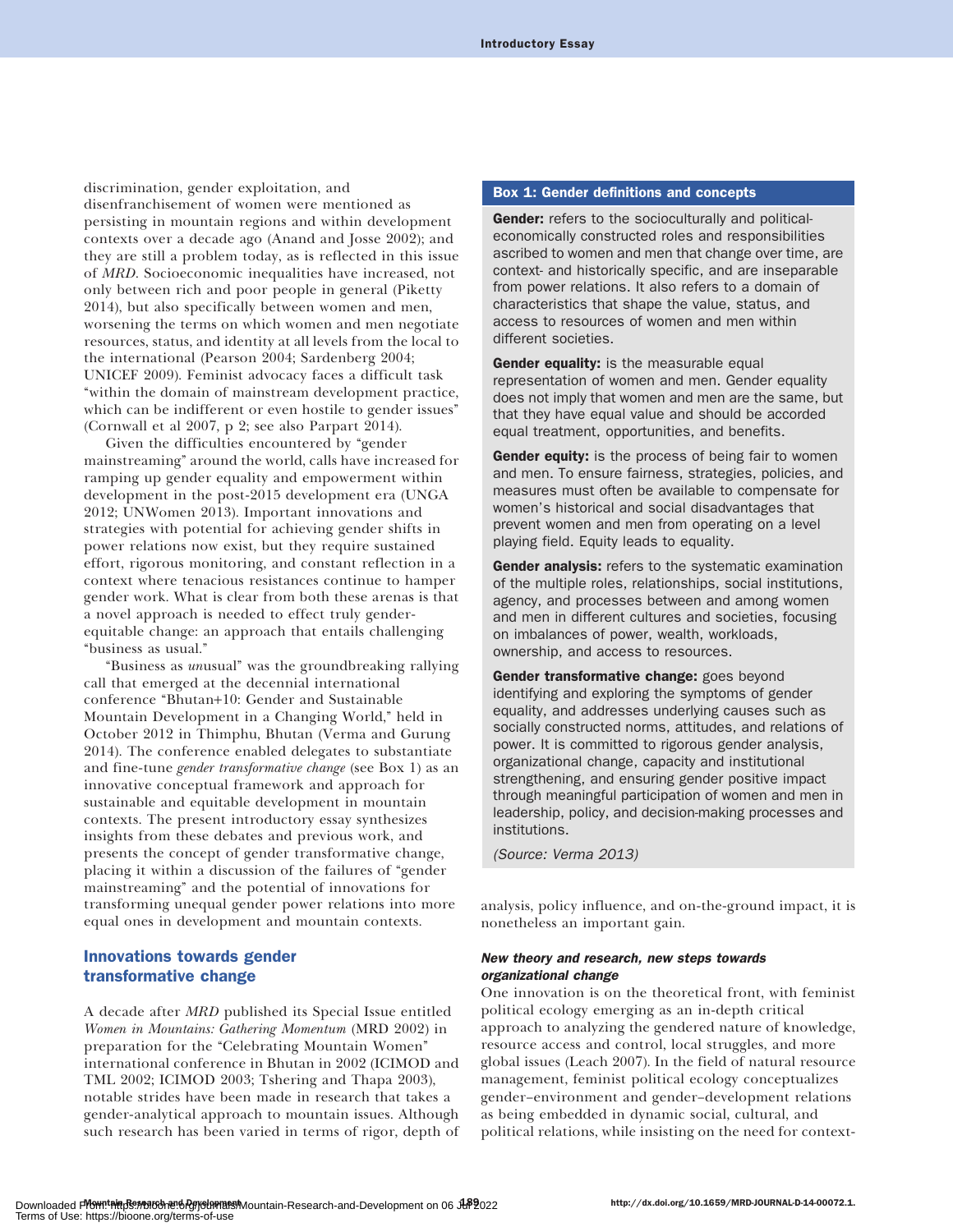discrimination, gender exploitation, and disenfranchisement of women were mentioned as persisting in mountain regions and within development contexts over a decade ago (Anand and Josse 2002); and they are still a problem today, as is reflected in this issue of MRD. Socioeconomic inequalities have increased, not only between rich and poor people in general (Piketty 2014), but also specifically between women and men, worsening the terms on which women and men negotiate resources, status, and identity at all levels from the local to the international (Pearson 2004; Sardenberg 2004; UNICEF 2009). Feminist advocacy faces a difficult task ''within the domain of mainstream development practice, which can be indifferent or even hostile to gender issues" (Cornwall et al 2007, p 2; see also Parpart 2014).

Given the difficulties encountered by "gender mainstreaming'' around the world, calls have increased for ramping up gender equality and empowerment within development in the post-2015 development era (UNGA 2012; UNWomen 2013). Important innovations and strategies with potential for achieving gender shifts in power relations now exist, but they require sustained effort, rigorous monitoring, and constant reflection in a context where tenacious resistances continue to hamper gender work. What is clear from both these arenas is that a novel approach is needed to effect truly genderequitable change: an approach that entails challenging ''business as usual.''

"Business as unusual" was the groundbreaking rallying call that emerged at the decennial international conference ''Bhutan+10: Gender and Sustainable Mountain Development in a Changing World,'' held in October 2012 in Thimphu, Bhutan (Verma and Gurung 2014). The conference enabled delegates to substantiate and fine-tune gender transformative change (see Box 1) as an innovative conceptual framework and approach for sustainable and equitable development in mountain contexts. The present introductory essay synthesizes insights from these debates and previous work, and presents the concept of gender transformative change, placing it within a discussion of the failures of ''gender mainstreaming'' and the potential of innovations for transforming unequal gender power relations into more equal ones in development and mountain contexts.

# Innovations towards gender transformative change

A decade after MRD published its Special Issue entitled Women in Mountains: Gathering Momentum (MRD 2002) in preparation for the "Celebrating Mountain Women" international conference in Bhutan in 2002 (ICIMOD and TML 2002; ICIMOD 2003; Tshering and Thapa 2003), notable strides have been made in research that takes a gender-analytical approach to mountain issues. Although such research has been varied in terms of rigor, depth of

### Box 1: Gender definitions and concepts

Gender: refers to the socioculturally and politicaleconomically constructed roles and responsibilities ascribed to women and men that change over time, are context- and historically specific, and are inseparable from power relations. It also refers to a domain of characteristics that shape the value, status, and access to resources of women and men within different societies.

**Gender equality:** is the measurable equal representation of women and men. Gender equality does not imply that women and men are the same, but that they have equal value and should be accorded equal treatment, opportunities, and benefits.

Gender equity: is the process of being fair to women and men. To ensure fairness, strategies, policies, and measures must often be available to compensate for women's historical and social disadvantages that prevent women and men from operating on a level playing field. Equity leads to equality.

Gender analysis: refers to the systematic examination of the multiple roles, relationships, social institutions, agency, and processes between and among women and men in different cultures and societies, focusing on imbalances of power, wealth, workloads, ownership, and access to resources.

Gender transformative change: goes beyond identifying and exploring the symptoms of gender equality, and addresses underlying causes such as socially constructed norms, attitudes, and relations of power. It is committed to rigorous gender analysis, organizational change, capacity and institutional strengthening, and ensuring gender positive impact through meaningful participation of women and men in leadership, policy, and decision-making processes and institutions.

(Source: Verma 2013)

analysis, policy influence, and on-the-ground impact, it is nonetheless an important gain.

## New theory and research, new steps towards organizational change

One innovation is on the theoretical front, with feminist political ecology emerging as an in-depth critical approach to analyzing the gendered nature of knowledge, resource access and control, local struggles, and more global issues (Leach 2007). In the field of natural resource management, feminist political ecology conceptualizes gender–environment and gender–development relations as being embedded in dynamic social, cultural, and political relations, while insisting on the need for context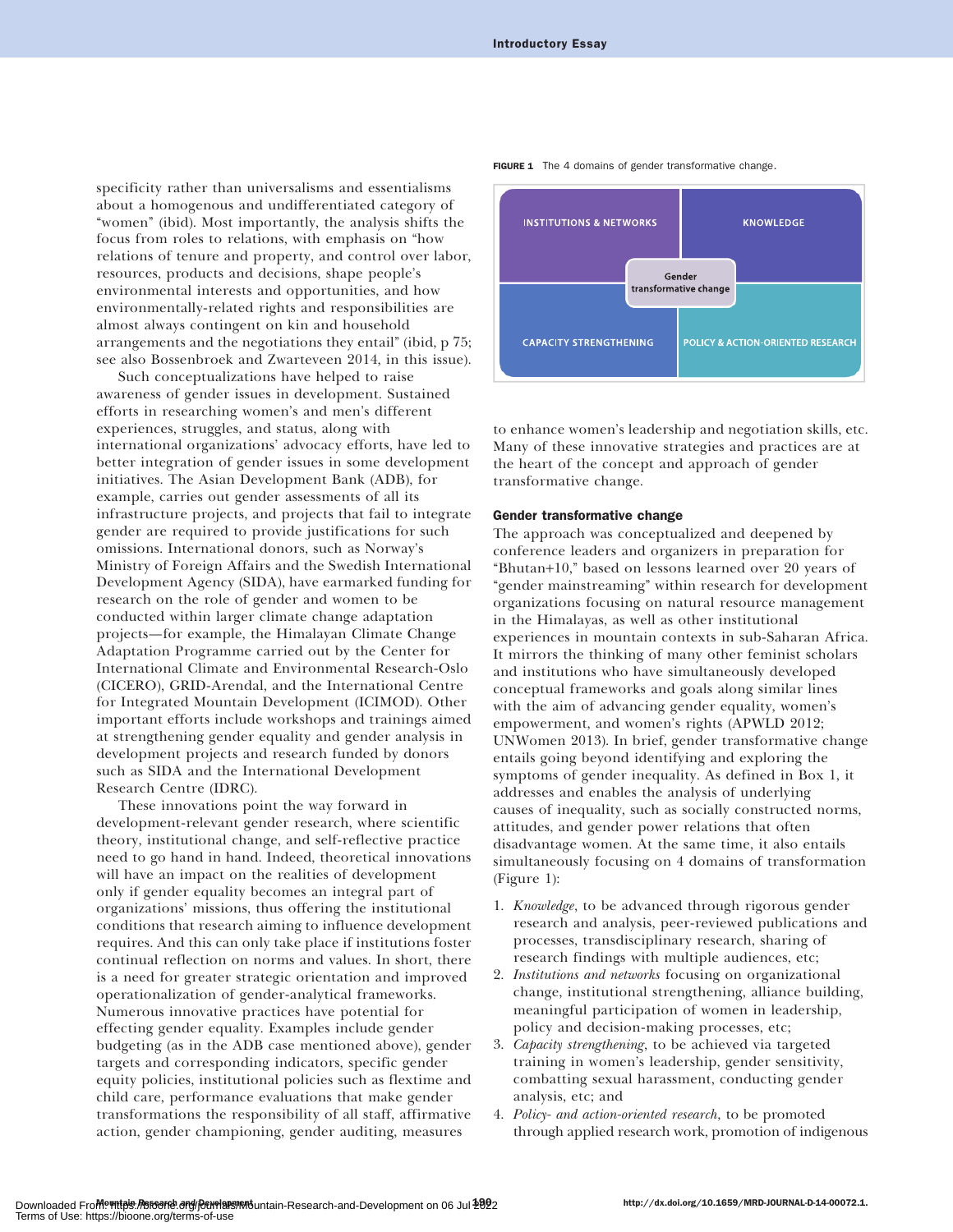specificity rather than universalisms and essentialisms about a homogenous and undifferentiated category of ''women'' (ibid). Most importantly, the analysis shifts the focus from roles to relations, with emphasis on ''how relations of tenure and property, and control over labor, resources, products and decisions, shape people's environmental interests and opportunities, and how environmentally-related rights and responsibilities are almost always contingent on kin and household arrangements and the negotiations they entail'' (ibid, p 75; see also Bossenbroek and Zwarteveen 2014, in this issue).

Such conceptualizations have helped to raise awareness of gender issues in development. Sustained efforts in researching women's and men's different experiences, struggles, and status, along with international organizations' advocacy efforts, have led to better integration of gender issues in some development initiatives. The Asian Development Bank (ADB), for example, carries out gender assessments of all its infrastructure projects, and projects that fail to integrate gender are required to provide justifications for such omissions. International donors, such as Norway's Ministry of Foreign Affairs and the Swedish International Development Agency (SIDA), have earmarked funding for research on the role of gender and women to be conducted within larger climate change adaptation projects—for example, the Himalayan Climate Change Adaptation Programme carried out by the Center for International Climate and Environmental Research-Oslo (CICERO), GRID-Arendal, and the International Centre for Integrated Mountain Development (ICIMOD). Other important efforts include workshops and trainings aimed at strengthening gender equality and gender analysis in development projects and research funded by donors such as SIDA and the International Development Research Centre (IDRC).

These innovations point the way forward in development-relevant gender research, where scientific theory, institutional change, and self-reflective practice need to go hand in hand. Indeed, theoretical innovations will have an impact on the realities of development only if gender equality becomes an integral part of organizations' missions, thus offering the institutional conditions that research aiming to influence development requires. And this can only take place if institutions foster continual reflection on norms and values. In short, there is a need for greater strategic orientation and improved operationalization of gender-analytical frameworks. Numerous innovative practices have potential for effecting gender equality. Examples include gender budgeting (as in the ADB case mentioned above), gender targets and corresponding indicators, specific gender equity policies, institutional policies such as flextime and child care, performance evaluations that make gender transformations the responsibility of all staff, affirmative action, gender championing, gender auditing, measures



FIGURE 1 The 4 domains of gender transformative change.

to enhance women's leadership and negotiation skills, etc. Many of these innovative strategies and practices are at the heart of the concept and approach of gender transformative change.

#### Gender transformative change

The approach was conceptualized and deepened by conference leaders and organizers in preparation for ''Bhutan+10,'' based on lessons learned over 20 years of ''gender mainstreaming'' within research for development organizations focusing on natural resource management in the Himalayas, as well as other institutional experiences in mountain contexts in sub-Saharan Africa. It mirrors the thinking of many other feminist scholars and institutions who have simultaneously developed conceptual frameworks and goals along similar lines with the aim of advancing gender equality, women's empowerment, and women's rights (APWLD 2012; UNWomen 2013). In brief, gender transformative change entails going beyond identifying and exploring the symptoms of gender inequality. As defined in Box 1, it addresses and enables the analysis of underlying causes of inequality, such as socially constructed norms, attitudes, and gender power relations that often disadvantage women. At the same time, it also entails simultaneously focusing on 4 domains of transformation (Figure 1):

- 1. Knowledge, to be advanced through rigorous gender research and analysis, peer-reviewed publications and processes, transdisciplinary research, sharing of research findings with multiple audiences, etc;
- 2. Institutions and networks focusing on organizational change, institutional strengthening, alliance building, meaningful participation of women in leadership, policy and decision-making processes, etc;
- 3. Capacity strengthening, to be achieved via targeted training in women's leadership, gender sensitivity, combatting sexual harassment, conducting gender analysis, etc; and
- 4. Policy- and action-oriented research, to be promoted through applied research work, promotion of indigenous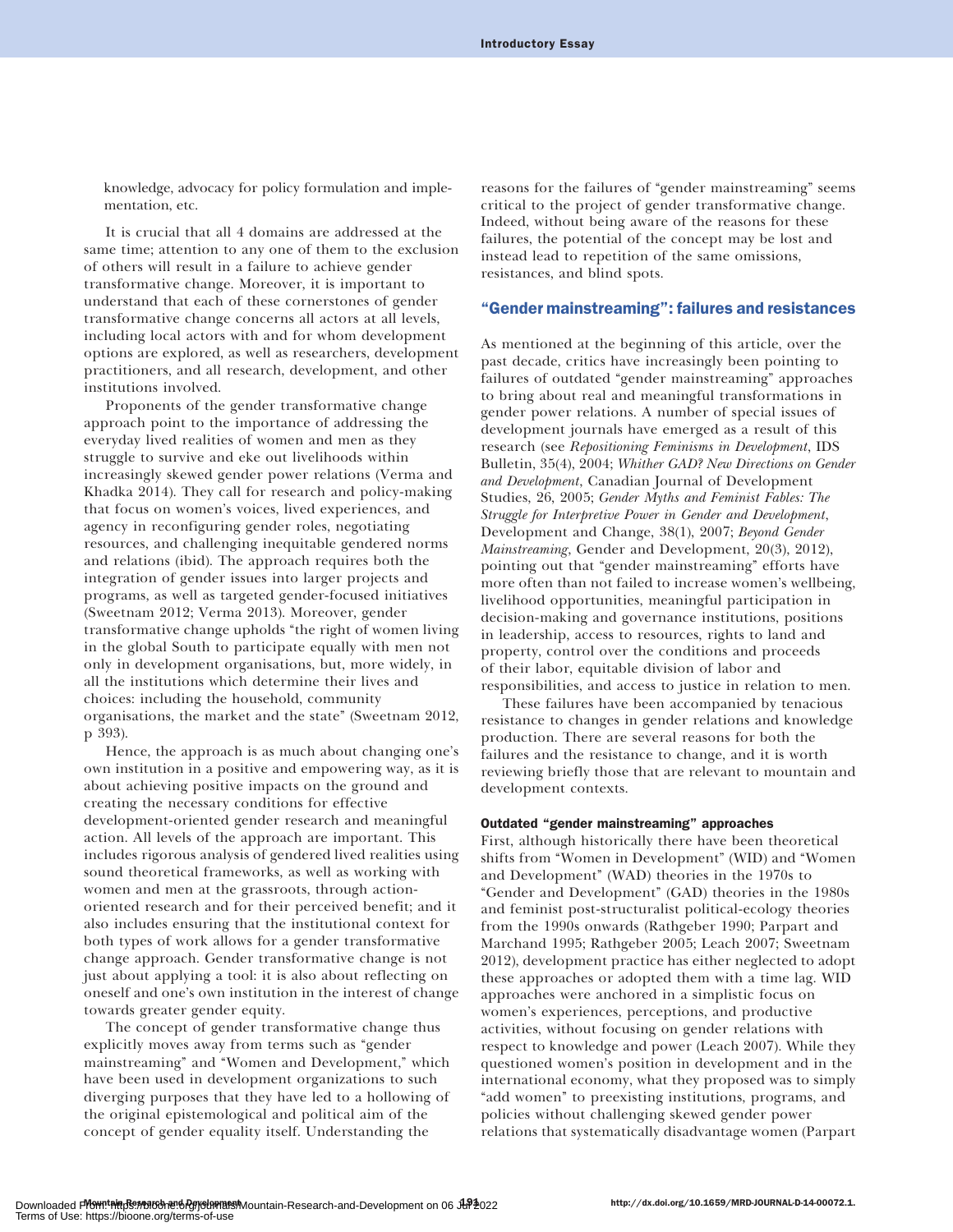knowledge, advocacy for policy formulation and implementation, etc.

It is crucial that all 4 domains are addressed at the same time; attention to any one of them to the exclusion of others will result in a failure to achieve gender transformative change. Moreover, it is important to understand that each of these cornerstones of gender transformative change concerns all actors at all levels, including local actors with and for whom development options are explored, as well as researchers, development practitioners, and all research, development, and other institutions involved.

Proponents of the gender transformative change approach point to the importance of addressing the everyday lived realities of women and men as they struggle to survive and eke out livelihoods within increasingly skewed gender power relations (Verma and Khadka 2014). They call for research and policy-making that focus on women's voices, lived experiences, and agency in reconfiguring gender roles, negotiating resources, and challenging inequitable gendered norms and relations (ibid). The approach requires both the integration of gender issues into larger projects and programs, as well as targeted gender-focused initiatives (Sweetnam 2012; Verma 2013). Moreover, gender transformative change upholds ''the right of women living in the global South to participate equally with men not only in development organisations, but, more widely, in all the institutions which determine their lives and choices: including the household, community organisations, the market and the state'' (Sweetnam 2012, p 393).

Hence, the approach is as much about changing one's own institution in a positive and empowering way, as it is about achieving positive impacts on the ground and creating the necessary conditions for effective development-oriented gender research and meaningful action. All levels of the approach are important. This includes rigorous analysis of gendered lived realities using sound theoretical frameworks, as well as working with women and men at the grassroots, through actionoriented research and for their perceived benefit; and it also includes ensuring that the institutional context for both types of work allows for a gender transformative change approach. Gender transformative change is not just about applying a tool: it is also about reflecting on oneself and one's own institution in the interest of change towards greater gender equity.

The concept of gender transformative change thus explicitly moves away from terms such as "gender mainstreaming" and "Women and Development," which have been used in development organizations to such diverging purposes that they have led to a hollowing of the original epistemological and political aim of the concept of gender equality itself. Understanding the

reasons for the failures of "gender mainstreaming" seems critical to the project of gender transformative change. Indeed, without being aware of the reasons for these failures, the potential of the concept may be lost and instead lead to repetition of the same omissions, resistances, and blind spots.

## ''Gender mainstreaming'': failures and resistances

As mentioned at the beginning of this article, over the past decade, critics have increasingly been pointing to failures of outdated "gender mainstreaming" approaches to bring about real and meaningful transformations in gender power relations. A number of special issues of development journals have emerged as a result of this research (see Repositioning Feminisms in Development, IDS Bulletin, 35(4), 2004; Whither GAD? New Directions on Gender and Development, Canadian Journal of Development Studies, 26, 2005; Gender Myths and Feminist Fables: The Struggle for Interpretive Power in Gender and Development, Development and Change, 38(1), 2007; Beyond Gender Mainstreaming, Gender and Development, 20(3), 2012), pointing out that "gender mainstreaming" efforts have more often than not failed to increase women's wellbeing, livelihood opportunities, meaningful participation in decision-making and governance institutions, positions in leadership, access to resources, rights to land and property, control over the conditions and proceeds of their labor, equitable division of labor and responsibilities, and access to justice in relation to men.

These failures have been accompanied by tenacious resistance to changes in gender relations and knowledge production. There are several reasons for both the failures and the resistance to change, and it is worth reviewing briefly those that are relevant to mountain and development contexts.

## Outdated ''gender mainstreaming'' approaches

First, although historically there have been theoretical shifts from "Women in Development" (WID) and "Women and Development'' (WAD) theories in the 1970s to ''Gender and Development'' (GAD) theories in the 1980s and feminist post-structuralist political-ecology theories from the 1990s onwards (Rathgeber 1990; Parpart and Marchand 1995; Rathgeber 2005; Leach 2007; Sweetnam 2012), development practice has either neglected to adopt these approaches or adopted them with a time lag. WID approaches were anchored in a simplistic focus on women's experiences, perceptions, and productive activities, without focusing on gender relations with respect to knowledge and power (Leach 2007). While they questioned women's position in development and in the international economy, what they proposed was to simply "add women" to preexisting institutions, programs, and policies without challenging skewed gender power relations that systematically disadvantage women (Parpart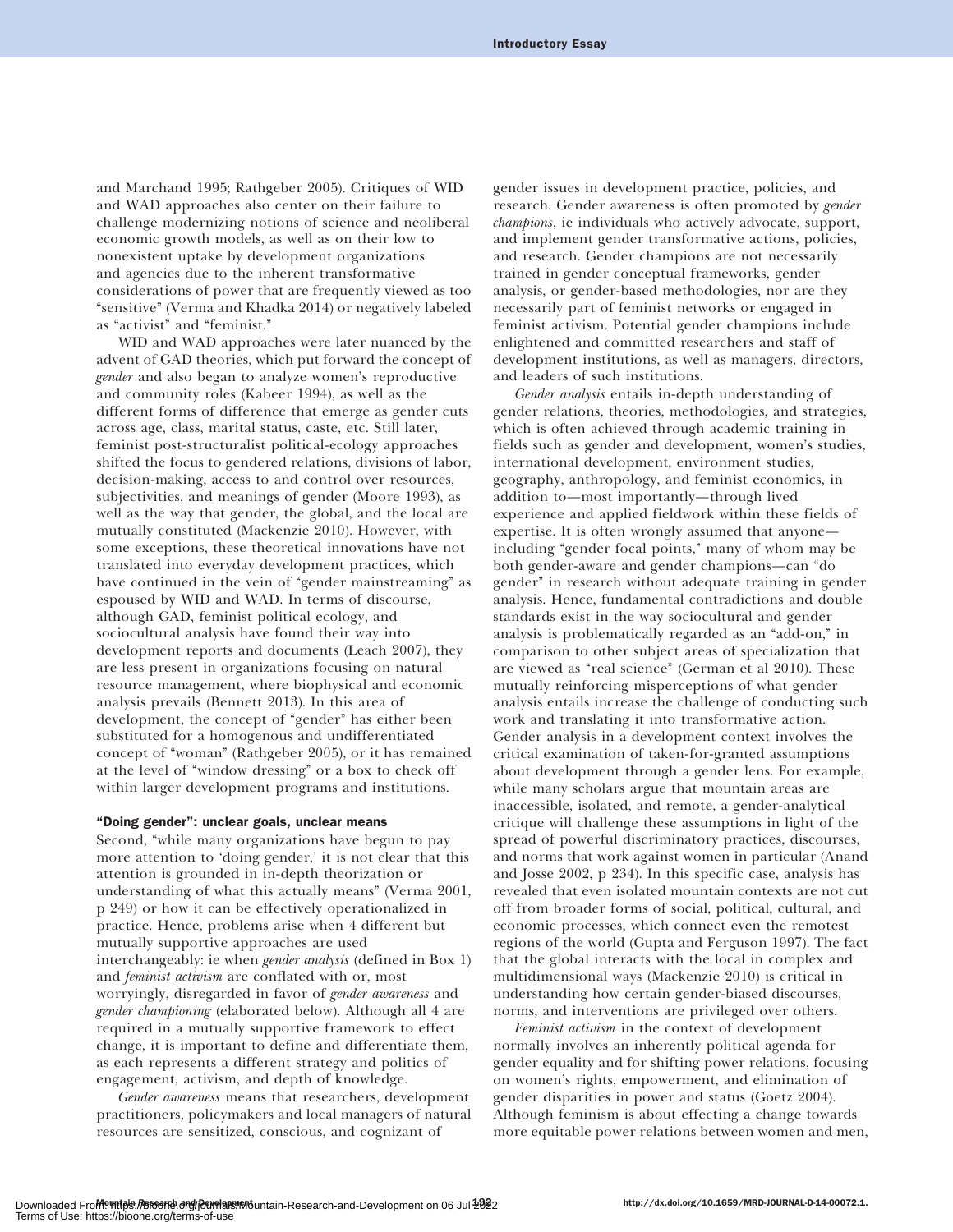and Marchand 1995; Rathgeber 2005). Critiques of WID and WAD approaches also center on their failure to challenge modernizing notions of science and neoliberal economic growth models, as well as on their low to nonexistent uptake by development organizations and agencies due to the inherent transformative considerations of power that are frequently viewed as too ''sensitive'' (Verma and Khadka 2014) or negatively labeled as "activist" and "feminist."

WID and WAD approaches were later nuanced by the advent of GAD theories, which put forward the concept of gender and also began to analyze women's reproductive and community roles (Kabeer 1994), as well as the different forms of difference that emerge as gender cuts across age, class, marital status, caste, etc. Still later, feminist post-structuralist political-ecology approaches shifted the focus to gendered relations, divisions of labor, decision-making, access to and control over resources, subjectivities, and meanings of gender (Moore 1993), as well as the way that gender, the global, and the local are mutually constituted (Mackenzie 2010). However, with some exceptions, these theoretical innovations have not translated into everyday development practices, which have continued in the vein of "gender mainstreaming" as espoused by WID and WAD. In terms of discourse, although GAD, feminist political ecology, and sociocultural analysis have found their way into development reports and documents (Leach 2007), they are less present in organizations focusing on natural resource management, where biophysical and economic analysis prevails (Bennett 2013). In this area of development, the concept of "gender" has either been substituted for a homogenous and undifferentiated concept of ''woman'' (Rathgeber 2005), or it has remained at the level of ''window dressing'' or a box to check off within larger development programs and institutions.

#### "Doing gender": unclear goals, unclear means

Second, "while many organizations have begun to pay more attention to 'doing gender,' it is not clear that this attention is grounded in in-depth theorization or understanding of what this actually means'' (Verma 2001, p 249) or how it can be effectively operationalized in practice. Hence, problems arise when 4 different but mutually supportive approaches are used interchangeably: ie when gender analysis (defined in Box 1) and feminist activism are conflated with or, most worryingly, disregarded in favor of gender awareness and gender championing (elaborated below). Although all 4 are required in a mutually supportive framework to effect change, it is important to define and differentiate them, as each represents a different strategy and politics of engagement, activism, and depth of knowledge.

Gender awareness means that researchers, development practitioners, policymakers and local managers of natural resources are sensitized, conscious, and cognizant of

gender issues in development practice, policies, and research. Gender awareness is often promoted by gender champions, ie individuals who actively advocate, support, and implement gender transformative actions, policies, and research. Gender champions are not necessarily trained in gender conceptual frameworks, gender analysis, or gender-based methodologies, nor are they necessarily part of feminist networks or engaged in feminist activism. Potential gender champions include enlightened and committed researchers and staff of development institutions, as well as managers, directors, and leaders of such institutions.

Gender analysis entails in-depth understanding of gender relations, theories, methodologies, and strategies, which is often achieved through academic training in fields such as gender and development, women's studies, international development, environment studies, geography, anthropology, and feminist economics, in addition to—most importantly—through lived experience and applied fieldwork within these fields of expertise. It is often wrongly assumed that anyone including "gender focal points," many of whom may be both gender-aware and gender champions—can ''do gender'' in research without adequate training in gender analysis. Hence, fundamental contradictions and double standards exist in the way sociocultural and gender analysis is problematically regarded as an "add-on," in comparison to other subject areas of specialization that are viewed as "real science" (German et al 2010). These mutually reinforcing misperceptions of what gender analysis entails increase the challenge of conducting such work and translating it into transformative action. Gender analysis in a development context involves the critical examination of taken-for-granted assumptions about development through a gender lens. For example, while many scholars argue that mountain areas are inaccessible, isolated, and remote, a gender-analytical critique will challenge these assumptions in light of the spread of powerful discriminatory practices, discourses, and norms that work against women in particular (Anand and Josse 2002, p 234). In this specific case, analysis has revealed that even isolated mountain contexts are not cut off from broader forms of social, political, cultural, and economic processes, which connect even the remotest regions of the world (Gupta and Ferguson 1997). The fact that the global interacts with the local in complex and multidimensional ways (Mackenzie 2010) is critical in understanding how certain gender-biased discourses, norms, and interventions are privileged over others.

Feminist activism in the context of development normally involves an inherently political agenda for gender equality and for shifting power relations, focusing on women's rights, empowerment, and elimination of gender disparities in power and status (Goetz 2004). Although feminism is about effecting a change towards more equitable power relations between women and men,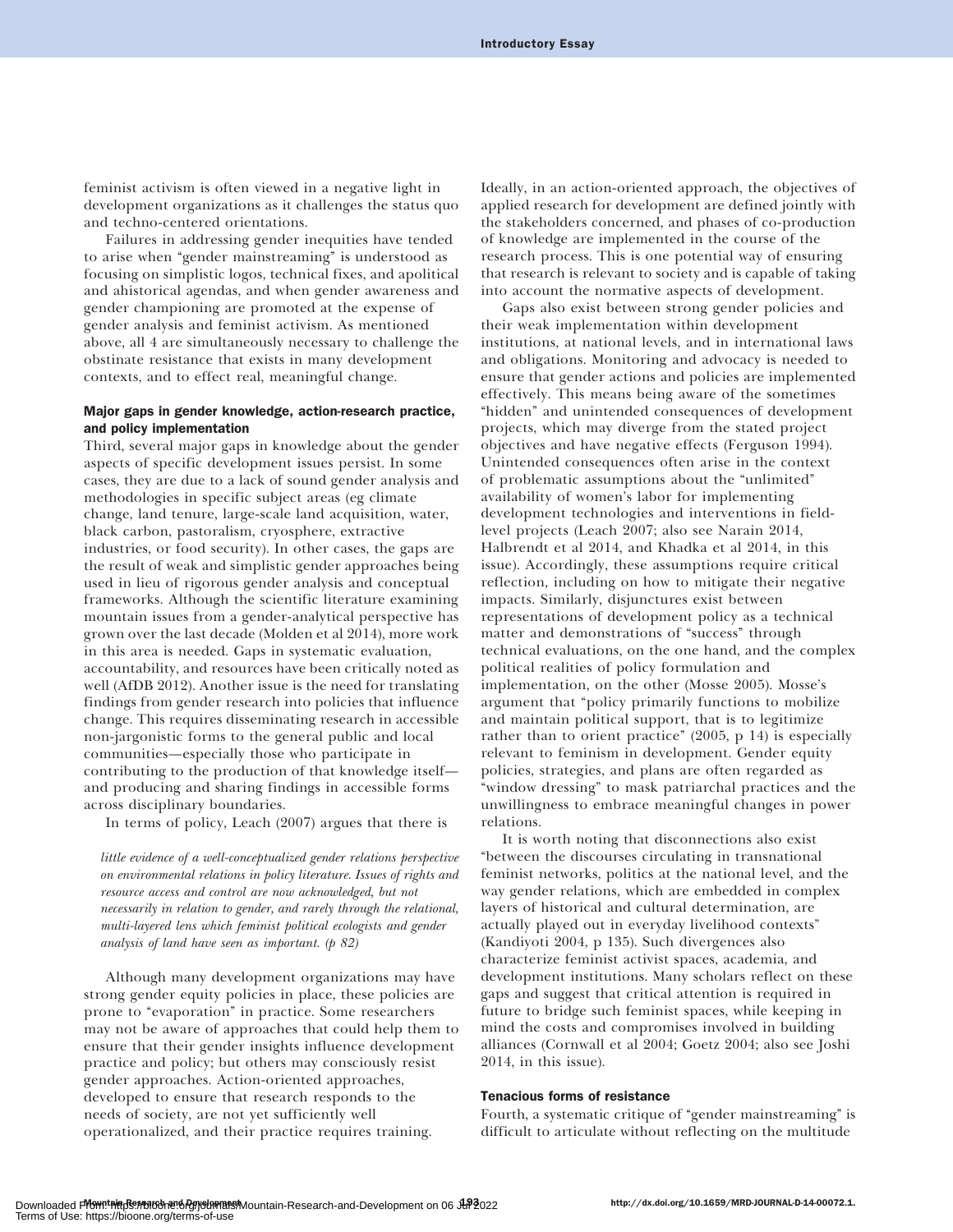feminist activism is often viewed in a negative light in development organizations as it challenges the status quo and techno-centered orientations.

Failures in addressing gender inequities have tended to arise when "gender mainstreaming" is understood as focusing on simplistic logos, technical fixes, and apolitical and ahistorical agendas, and when gender awareness and gender championing are promoted at the expense of gender analysis and feminist activism. As mentioned above, all 4 are simultaneously necessary to challenge the obstinate resistance that exists in many development contexts, and to effect real, meaningful change.

## Major gaps in gender knowledge, action-research practice, and policy implementation

Third, several major gaps in knowledge about the gender aspects of specific development issues persist. In some cases, they are due to a lack of sound gender analysis and methodologies in specific subject areas (eg climate change, land tenure, large-scale land acquisition, water, black carbon, pastoralism, cryosphere, extractive industries, or food security). In other cases, the gaps are the result of weak and simplistic gender approaches being used in lieu of rigorous gender analysis and conceptual frameworks. Although the scientific literature examining mountain issues from a gender-analytical perspective has grown over the last decade (Molden et al 2014), more work in this area is needed. Gaps in systematic evaluation, accountability, and resources have been critically noted as well (AfDB 2012). Another issue is the need for translating findings from gender research into policies that influence change. This requires disseminating research in accessible non-jargonistic forms to the general public and local communities—especially those who participate in contributing to the production of that knowledge itself and producing and sharing findings in accessible forms across disciplinary boundaries.

In terms of policy, Leach (2007) argues that there is

little evidence of a well-conceptualized gender relations perspective on environmental relations in policy literature. Issues of rights and resource access and control are now acknowledged, but not necessarily in relation to gender, and rarely through the relational, multi-layered lens which feminist political ecologists and gender analysis of land have seen as important.  $(p 82)$ 

Although many development organizations may have strong gender equity policies in place, these policies are prone to "evaporation" in practice. Some researchers may not be aware of approaches that could help them to ensure that their gender insights influence development practice and policy; but others may consciously resist gender approaches. Action-oriented approaches, developed to ensure that research responds to the needs of society, are not yet sufficiently well operationalized, and their practice requires training.

Ideally, in an action-oriented approach, the objectives of applied research for development are defined jointly with the stakeholders concerned, and phases of co-production of knowledge are implemented in the course of the research process. This is one potential way of ensuring that research is relevant to society and is capable of taking into account the normative aspects of development.

Gaps also exist between strong gender policies and their weak implementation within development institutions, at national levels, and in international laws and obligations. Monitoring and advocacy is needed to ensure that gender actions and policies are implemented effectively. This means being aware of the sometimes "hidden" and unintended consequences of development projects, which may diverge from the stated project objectives and have negative effects (Ferguson 1994). Unintended consequences often arise in the context of problematic assumptions about the ''unlimited'' availability of women's labor for implementing development technologies and interventions in fieldlevel projects (Leach 2007; also see Narain 2014, Halbrendt et al 2014, and Khadka et al 2014, in this issue). Accordingly, these assumptions require critical reflection, including on how to mitigate their negative impacts. Similarly, disjunctures exist between representations of development policy as a technical matter and demonstrations of "success" through technical evaluations, on the one hand, and the complex political realities of policy formulation and implementation, on the other (Mosse 2005). Mosse's argument that "policy primarily functions to mobilize and maintain political support, that is to legitimize rather than to orient practice'' (2005, p 14) is especially relevant to feminism in development. Gender equity policies, strategies, and plans are often regarded as ''window dressing'' to mask patriarchal practices and the unwillingness to embrace meaningful changes in power relations.

It is worth noting that disconnections also exist ''between the discourses circulating in transnational feminist networks, politics at the national level, and the way gender relations, which are embedded in complex layers of historical and cultural determination, are actually played out in everyday livelihood contexts'' (Kandiyoti 2004, p 135). Such divergences also characterize feminist activist spaces, academia, and development institutions. Many scholars reflect on these gaps and suggest that critical attention is required in future to bridge such feminist spaces, while keeping in mind the costs and compromises involved in building alliances (Cornwall et al 2004; Goetz 2004; also see Joshi 2014, in this issue).

### Tenacious forms of resistance

Fourth, a systematic critique of "gender mainstreaming" is difficult to articulate without reflecting on the multitude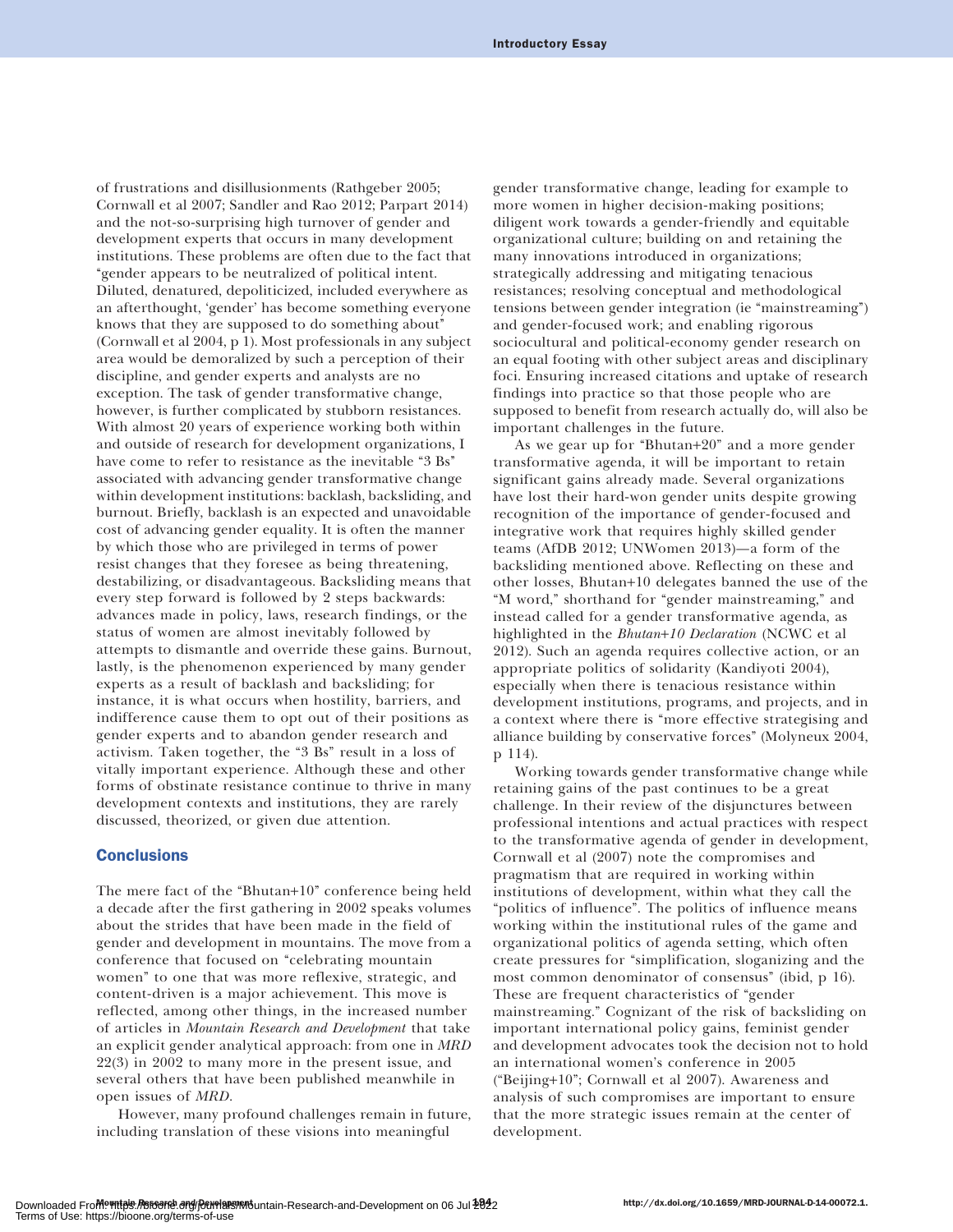of frustrations and disillusionments (Rathgeber 2005; Cornwall et al 2007; Sandler and Rao 2012; Parpart 2014) and the not-so-surprising high turnover of gender and development experts that occurs in many development institutions. These problems are often due to the fact that ''gender appears to be neutralized of political intent. Diluted, denatured, depoliticized, included everywhere as an afterthought, 'gender' has become something everyone knows that they are supposed to do something about'' (Cornwall et al 2004, p 1). Most professionals in any subject area would be demoralized by such a perception of their discipline, and gender experts and analysts are no exception. The task of gender transformative change, however, is further complicated by stubborn resistances. With almost 20 years of experience working both within and outside of research for development organizations, I have come to refer to resistance as the inevitable "3 Bs" associated with advancing gender transformative change within development institutions: backlash, backsliding, and burnout. Briefly, backlash is an expected and unavoidable cost of advancing gender equality. It is often the manner by which those who are privileged in terms of power resist changes that they foresee as being threatening, destabilizing, or disadvantageous. Backsliding means that every step forward is followed by 2 steps backwards: advances made in policy, laws, research findings, or the status of women are almost inevitably followed by attempts to dismantle and override these gains. Burnout, lastly, is the phenomenon experienced by many gender experts as a result of backlash and backsliding; for instance, it is what occurs when hostility, barriers, and indifference cause them to opt out of their positions as gender experts and to abandon gender research and activism. Taken together, the "3 Bs" result in a loss of vitally important experience. Although these and other forms of obstinate resistance continue to thrive in many development contexts and institutions, they are rarely discussed, theorized, or given due attention.

## **Conclusions**

The mere fact of the "Bhutan+10" conference being held a decade after the first gathering in 2002 speaks volumes about the strides that have been made in the field of gender and development in mountains. The move from a conference that focused on "celebrating mountain women'' to one that was more reflexive, strategic, and content-driven is a major achievement. This move is reflected, among other things, in the increased number of articles in Mountain Research and Development that take an explicit gender analytical approach: from one in MRD 22(3) in 2002 to many more in the present issue, and several others that have been published meanwhile in open issues of MRD.

However, many profound challenges remain in future, including translation of these visions into meaningful

gender transformative change, leading for example to more women in higher decision-making positions; diligent work towards a gender-friendly and equitable organizational culture; building on and retaining the many innovations introduced in organizations; strategically addressing and mitigating tenacious resistances; resolving conceptual and methodological tensions between gender integration (ie "mainstreaming") and gender-focused work; and enabling rigorous sociocultural and political-economy gender research on an equal footing with other subject areas and disciplinary foci. Ensuring increased citations and uptake of research findings into practice so that those people who are supposed to benefit from research actually do, will also be important challenges in the future.

As we gear up for "Bhutan+20" and a more gender transformative agenda, it will be important to retain significant gains already made. Several organizations have lost their hard-won gender units despite growing recognition of the importance of gender-focused and integrative work that requires highly skilled gender teams (AfDB 2012; UNWomen 2013)—a form of the backsliding mentioned above. Reflecting on these and other losses, Bhutan+10 delegates banned the use of the "M word," shorthand for "gender mainstreaming," and instead called for a gender transformative agenda, as highlighted in the Bhutan+10 Declaration (NCWC et al 2012). Such an agenda requires collective action, or an appropriate politics of solidarity (Kandiyoti 2004), especially when there is tenacious resistance within development institutions, programs, and projects, and in a context where there is ''more effective strategising and alliance building by conservative forces'' (Molyneux 2004, p 114).

Working towards gender transformative change while retaining gains of the past continues to be a great challenge. In their review of the disjunctures between professional intentions and actual practices with respect to the transformative agenda of gender in development, Cornwall et al (2007) note the compromises and pragmatism that are required in working within institutions of development, within what they call the ''politics of influence''. The politics of influence means working within the institutional rules of the game and organizational politics of agenda setting, which often create pressures for ''simplification, sloganizing and the most common denominator of consensus'' (ibid, p 16). These are frequent characteristics of "gender mainstreaming.'' Cognizant of the risk of backsliding on important international policy gains, feminist gender and development advocates took the decision not to hold an international women's conference in 2005 (''Beijing+10''; Cornwall et al 2007). Awareness and analysis of such compromises are important to ensure that the more strategic issues remain at the center of development.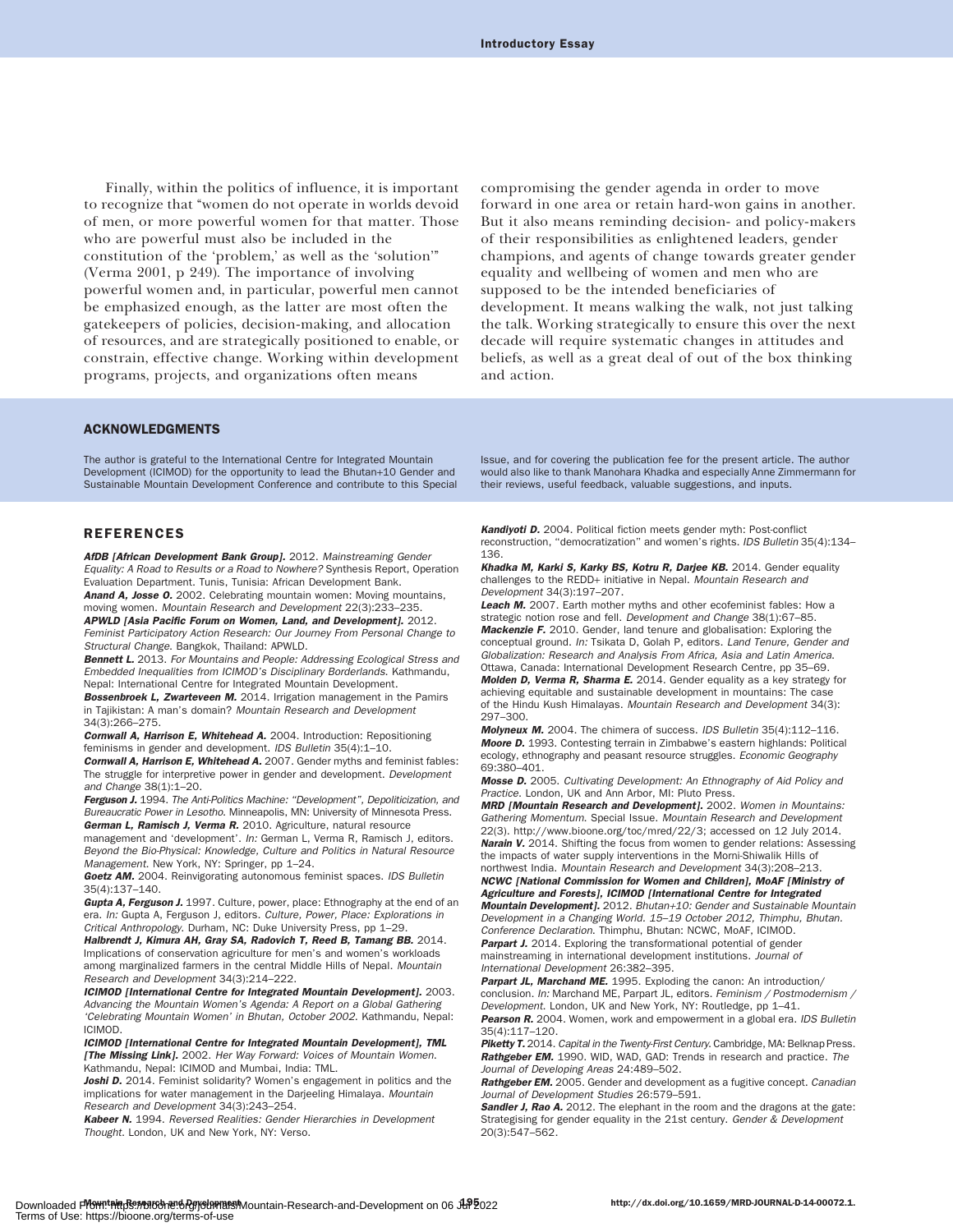Finally, within the politics of influence, it is important to recognize that ''women do not operate in worlds devoid of men, or more powerful women for that matter. Those who are powerful must also be included in the constitution of the 'problem,' as well as the 'solution''' (Verma 2001, p 249). The importance of involving powerful women and, in particular, powerful men cannot be emphasized enough, as the latter are most often the gatekeepers of policies, decision-making, and allocation of resources, and are strategically positioned to enable, or constrain, effective change. Working within development programs, projects, and organizations often means

compromising the gender agenda in order to move forward in one area or retain hard-won gains in another. But it also means reminding decision- and policy-makers of their responsibilities as enlightened leaders, gender champions, and agents of change towards greater gender equality and wellbeing of women and men who are supposed to be the intended beneficiaries of development. It means walking the walk, not just talking the talk. Working strategically to ensure this over the next decade will require systematic changes in attitudes and beliefs, as well as a great deal of out of the box thinking and action.

#### ACKNOWLEDGMENTS

The author is grateful to the International Centre for Integrated Mountain Development (ICIMOD) for the opportunity to lead the Bhutan+10 Gender and Sustainable Mountain Development Conference and contribute to this Special

#### REFERENCES

AfDB [African Development Bank Group]. 2012. Mainstreaming Gender Equality: A Road to Results or a Road to Nowhere? Synthesis Report, Operation Evaluation Department. Tunis, Tunisia: African Development Bank. Anand A, Josse O. 2002. Celebrating mountain women: Moving mountains,

moving women. Mountain Research and Development 22(3):233–235. APWLD [Asia Pacific Forum on Women, Land, and Development]. 2012. Feminist Participatory Action Research: Our Journey From Personal Change to Structural Change. Bangkok, Thailand: APWLD.

Bennett L. 2013. For Mountains and People: Addressing Ecological Stress and Embedded Inequalities from ICIMOD's Disciplinary Borderlands. Kathmandu, Nepal: International Centre for Integrated Mountain Development.

**Bossenbroek L, Zwarteveen M.** 2014. Irrigation management in the Pamirs in Tajikistan: A man's domain? Mountain Research and Development 34(3):266–275.

Cornwall A, Harrison E, Whitehead A. 2004. Introduction: Repositioning feminisms in gender and development. IDS Bulletin 35(4):1–10.

Cornwall A, Harrison E, Whitehead A. 2007. Gender myths and feminist fables: The struggle for interpretive power in gender and development. Development and Change 38(1):1–20.

Ferguson J. 1994. The Anti-Politics Machine: "Development", Depoliticization, and Bureaucratic Power in Lesotho. Minneapolis, MN: University of Minnesota Press. German L, Ramisch J, Verma R. 2010. Agriculture, natural resource

management and 'development'. In: German L. Verma R. Ramisch J. editors. Beyond the Bio-Physical: Knowledge, Culture and Politics in Natural Resource Management. New York, NY: Springer, pp 1–24.

Goetz AM. 2004. Reinvigorating autonomous feminist spaces. IDS Bulletin 35(4):137–140.

Gupta A, Ferguson J. 1997. Culture, power, place: Ethnography at the end of an era. In: Gupta A, Ferguson J, editors. Culture, Power, Place: Explorations in Critical Anthropology. Durham, NC: Duke University Press, pp 1–29.

Halbrendt J, Kimura AH, Gray SA, Radovich T, Reed B, Tamang BB. 2014. Implications of conservation agriculture for men's and women's workloads among marginalized farmers in the central Middle Hills of Nepal. Mountain Research and Development 34(3):214–222.

ICIMOD [International Centre for Integrated Mountain Development]. 2003. Advancing the Mountain Women's Agenda: A Report on a Global Gathering 'Celebrating Mountain Women' in Bhutan, October 2002. Kathmandu, Nepal: ICIMOD.

ICIMOD [International Centre for Integrated Mountain Development], TML [The Missing Link]. 2002. Her Way Forward: Voices of Mountain Women. Kathmandu, Nepal: ICIMOD and Mumbai, India: TML.

Joshi D. 2014. Feminist solidarity? Women's engagement in politics and the implications for water management in the Darjeeling Himalaya. Mountain Research and Development 34(3):243–254.

Kabeer N. 1994. Reversed Realities: Gender Hierarchies in Development Thought. London, UK and New York, NY: Verso.

Kandiyoti D. 2004. Political fiction meets gender myth: Post-conflict reconstruction, "democratization" and women's rights. IDS Bulletin 35(4):134-

Issue, and for covering the publication fee for the present article. The author would also like to thank Manohara Khadka and especially Anne Zimmermann for

their reviews, useful feedback, valuable suggestions, and inputs.

136. Khadka M, Karki S, Karky BS, Kotru R, Darjee KB. 2014. Gender equality challenges to the REDD+ initiative in Nepal. Mountain Research and Development 34(3):197–207.

Leach M. 2007. Earth mother myths and other ecofeminist fables: How a strategic notion rose and fell. Development and Change 38(1):67–85. Mackenzie F. 2010. Gender, land tenure and globalisation: Exploring the conceptual ground. In: Tsikata D, Golah P, editors. Land Tenure, Gender and Globalization: Research and Analysis From Africa, Asia and Latin America. Ottawa, Canada: International Development Research Centre, pp 35–69.

Molden D, Verma R, Sharma E. 2014. Gender equality as a key strategy for achieving equitable and sustainable development in mountains: The case of the Hindu Kush Himalayas. Mountain Research and Development 34(3): 297–300.

Molyneux M. 2004. The chimera of success. IDS Bulletin 35(4):112-116. Moore D. 1993. Contesting terrain in Zimbabwe's eastern highlands: Political ecology, ethnography and peasant resource struggles. Economic Geography 69:380–401.

Mosse D. 2005. Cultivating Development: An Ethnography of Aid Policy and Practice. London, UK and Ann Arbor, MI: Pluto Press.

**MRD [Mountain Research and Development].** 2002. Women in Mountains: Gathering Momentum. Special Issue. Mountain Research and Development 22(3). http://www.bioone.org/toc/mred/22/3; accessed on 12 July 2014. **Narain V.** 2014. Shifting the focus from women to gender relations: Assessing the impacts of water supply interventions in the Morni-Shiwalik Hills of northwest India. Mountain Research and Development 34(3):208–213.

NCWC [National Commission for Women and Children], MoAF [Ministry of Agriculture and Forests], ICIMOD [International Centre for Integrated

Mountain Development]. 2012. Bhutan+10: Gender and Sustainable Mountain Development in a Changing World. 15–19 October 2012, Thimphu, Bhutan. Conference Declaration. Thimphu, Bhutan: NCWC, MoAF, ICIMOD.

Parpart J. 2014. Exploring the transformational potential of gender mainstreaming in international development institutions. Journal of International Development 26:382–395.

Parpart JL, Marchand ME. 1995. Exploding the canon: An introduction/ conclusion. In: Marchand ME, Parpart JL, editors. Feminism / Postmodernism / Development. London, UK and New York, NY: Routledge, pp 1–41.

Pearson R. 2004. Women, work and empowerment in a global era. IDS Bulletin 35(4):117–120.

Piketty T. 2014. Capital in the Twenty-First Century. Cambridge, MA: Belknap Press. **Rathgeber EM.** 1990. WID. WAD. GAD: Trends in research and practice. The Journal of Developing Areas 24:489–502.

Rathgeber EM. 2005. Gender and development as a fugitive concept. Canadian Journal of Development Studies 26:579–591.

**Sandler J, Rao A.** 2012. The elephant in the room and the dragons at the gate: Strategising for gender equality in the 21st century. Gender & Development 20(3):547–562.